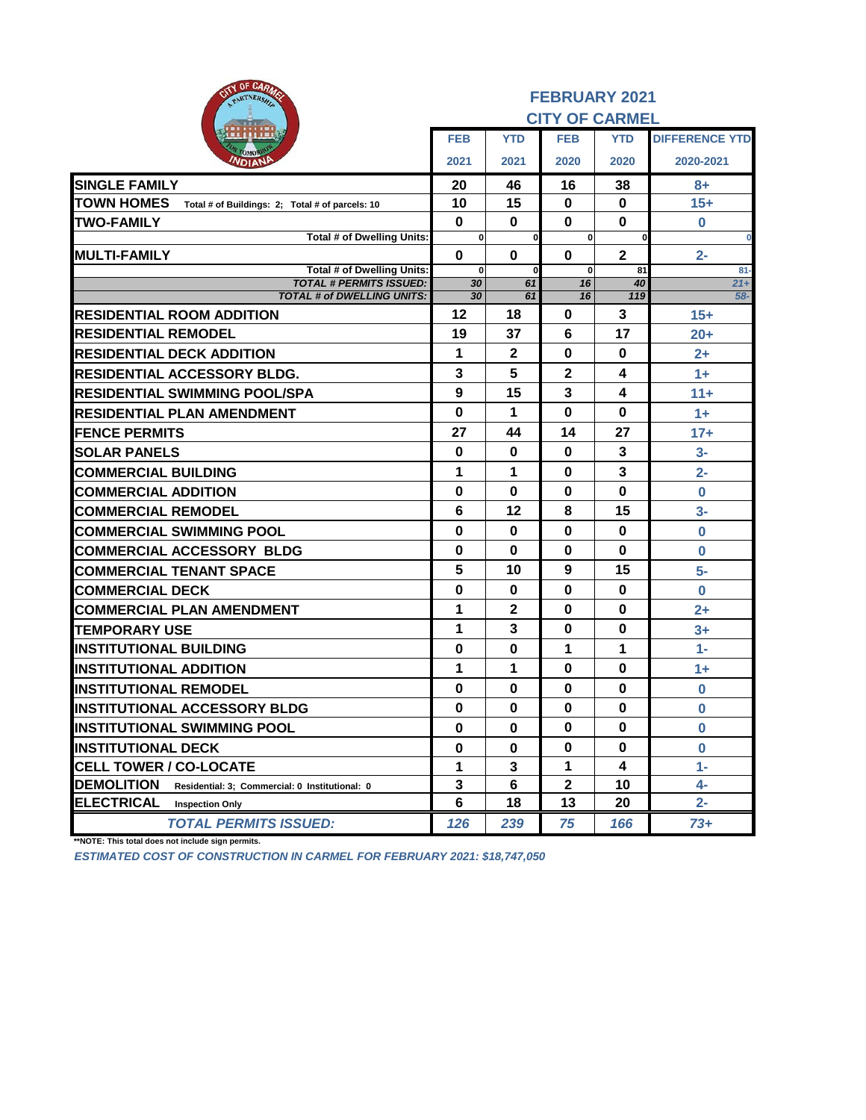| <b>UF UNITARS</b><br><b>SID</b><br>PARTNERSHIP                       | <b>FEBRUARY 2021</b> |                |                       |              |                       |  |  |
|----------------------------------------------------------------------|----------------------|----------------|-----------------------|--------------|-----------------------|--|--|
|                                                                      |                      |                | <b>CITY OF CARMEL</b> |              |                       |  |  |
|                                                                      | <b>FEB</b>           | <b>YTD</b>     | <b>FEB</b>            | <b>YTD</b>   | <b>DIFFERENCE YTD</b> |  |  |
| омо<br>WDIANI                                                        | 2021                 | 2021           | 2020                  | 2020         | 2020-2021             |  |  |
| <b>SINGLE FAMILY</b>                                                 | 20                   | 46             | 16                    | 38           | 8+                    |  |  |
| <b>TOWN HOMES</b><br>Total # of Buildings: 2; Total # of parcels: 10 | 10                   | 15             | 0                     | 0            | $15+$                 |  |  |
| <b>TWO-FAMILY</b>                                                    | $\bf{0}$             | $\bf{0}$       | $\bf{0}$              | 0            | $\bf{0}$              |  |  |
| Total # of Dwelling Units:                                           | 0                    | <sub>0</sub>   | $\mathbf{0}$          |              | $\bf{0}$              |  |  |
| <b>MULTI-FAMILY</b>                                                  | $\mathbf 0$          | 0              | 0                     | $\mathbf{2}$ | $2 -$                 |  |  |
| Total # of Dwelling Units:<br><b>TOTAL # PERMITS ISSUED:</b>         | $\bf{0}$<br>30       | $\bf{0}$<br>61 | $\mathbf{0}$<br>16    | 81<br>40     | $81-$<br>$21 +$       |  |  |
| <b>TOTAL # of DWELLING UNITS:</b>                                    | 30                   | 61             | 16                    | 119          | $58-$                 |  |  |
| <b>RESIDENTIAL ROOM ADDITION</b>                                     | 12                   | 18             | 0                     | 3            | $15+$                 |  |  |
| <b>IRESIDENTIAL REMODEL</b>                                          | 19                   | 37             | 6                     | 17           | $20+$                 |  |  |
| <b>RESIDENTIAL DECK ADDITION</b>                                     | 1                    | $\mathbf{2}$   | 0                     | $\bf{0}$     | $2+$                  |  |  |
| <b>RESIDENTIAL ACCESSORY BLDG.</b>                                   | 3                    | 5              | $\mathbf{2}$          | 4            | $1+$                  |  |  |
| <b>RESIDENTIAL SWIMMING POOL/SPA</b>                                 | 9                    | 15             | $\mathbf{3}$          | 4            | $11 +$                |  |  |
| <b>RESIDENTIAL PLAN AMENDMENT</b>                                    | $\mathbf 0$          | 1              | $\bf{0}$              | $\bf{0}$     | $1+$                  |  |  |
| <b>IFENCE PERMITS</b>                                                | 27                   | 44             | 14                    | 27           | $17+$                 |  |  |
| <b>SOLAR PANELS</b>                                                  | 0                    | 0              | 0                     | 3            | $3-$                  |  |  |
| <b>COMMERCIAL BUILDING</b>                                           | 1                    | 1              | 0                     | 3            | $2-$                  |  |  |
| <b>COMMERCIAL ADDITION</b>                                           | 0                    | 0              | 0                     | $\bf{0}$     | $\bf{0}$              |  |  |
| <b>COMMERCIAL REMODEL</b>                                            | 6                    | 12             | 8                     | 15           | $3-$                  |  |  |
| <b>COMMERCIAL SWIMMING POOL</b>                                      | $\bf{0}$             | $\bf{0}$       | $\bf{0}$              | $\bf{0}$     | $\mathbf 0$           |  |  |
| <b>COMMERCIAL ACCESSORY BLDG</b>                                     | 0                    | $\bf{0}$       | 0                     | $\bf{0}$     | 0                     |  |  |
| <b>COMMERCIAL TENANT SPACE</b>                                       | 5                    | 10             | 9                     | 15           | $5-$                  |  |  |
| <b>COMMERCIAL DECK</b>                                               | $\mathbf 0$          | 0              | 0                     | 0            | $\bf{0}$              |  |  |
| <b>COMMERCIAL PLAN AMENDMENT</b>                                     | 1                    | $\mathbf{2}$   | $\bf{0}$              | $\bf{0}$     | $2+$                  |  |  |
| <b>TEMPORARY USE</b>                                                 | 1                    | 3              | $\bf{0}$              | 0            | $3+$                  |  |  |
| <b>INSTITUTIONAL BUILDING</b>                                        | $\bf{0}$             | $\bf{0}$       | 1                     | 1            | $1 -$                 |  |  |
| <b>INSTITUTIONAL ADDITION</b>                                        | 1                    | 1              | 0                     | $\bf{0}$     | $1 +$                 |  |  |
| <b>INSTITUTIONAL REMODEL</b>                                         | 0                    | 0              | 0                     | 0            | 0                     |  |  |
| <b>INSTITUTIONAL ACCESSORY BLDG</b>                                  | $\bf{0}$             | $\bf{0}$       | $\bf{0}$              | $\bf{0}$     | $\mathbf 0$           |  |  |
| <b>INSTITUTIONAL SWIMMING POOL</b>                                   | $\mathbf 0$          | $\bf{0}$       | 0                     | 0            | $\bf{0}$              |  |  |
| <b>INSTITUTIONAL DECK</b>                                            | $\mathbf 0$          | 0              | 0                     | $\bf{0}$     | $\mathbf 0$           |  |  |
| <b>CELL TOWER / CO-LOCATE</b>                                        | 1                    | 3              | 1                     | 4            | $1 -$                 |  |  |
| <b>DEMOLITION</b><br>Residential: 3; Commercial: 0 Institutional: 0  | 3                    | 6              | $\mathbf{2}$          | 10           | 4-                    |  |  |
| <b>ELECTRICAL</b><br><b>Inspection Only</b>                          | 6                    | 18             | 13                    | 20           | $2 -$                 |  |  |
| <b>TOTAL PERMITS ISSUED:</b>                                         | 126                  | 239            | 75                    | 166          | 73+                   |  |  |

**\*\*NOTE: This total does not include sign permits.**

*ESTIMATED COST OF CONSTRUCTION IN CARMEL FOR FEBRUARY 2021: \$18,747,050*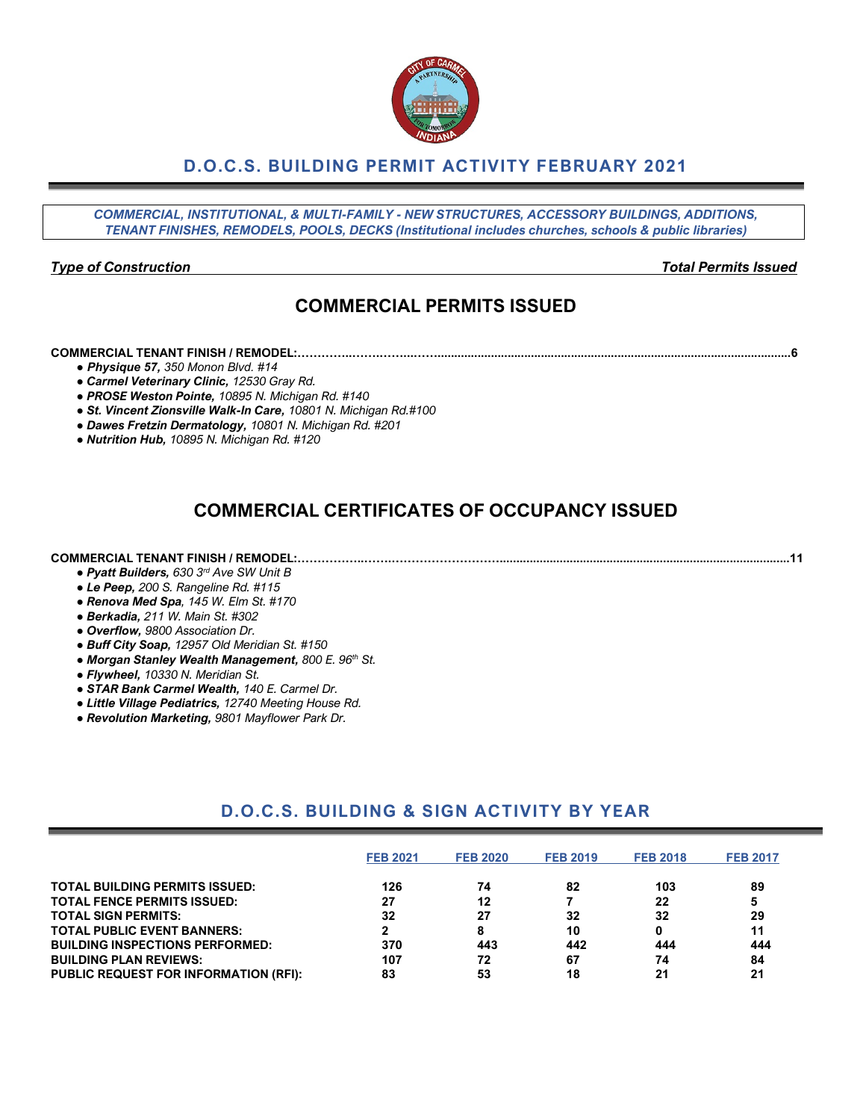## **D.O.C.S. BUILDING PERMIT ACTIVITY FEBRUARY 2021**

*COMMERCIAL, INSTITUTIONAL, & MULTI-FAMILY - NEW STRUCTURES, ACCESSORY BUILDINGS, ADDITIONS, TENANT FINISHES, REMODELS, POOLS, DECKS (Institutional includes churches, schools & public libraries)*

#### *Type of Construction Total Permits Issued*

## **COMMERCIAL PERMITS ISSUED**

#### **COMMERCIAL TENANT FINISH / REMODEL:…………..…….……...……..........................................................................................................6**

- *● Physique 57, 350 Monon Blvd. #14*
- *● Carmel Veterinary Clinic, 12530 Gray Rd.*
- *● PROSE Weston Pointe, 10895 N. Michigan Rd. #140*
- *● St. Vincent Zionsville Walk-In Care, 10801 N. Michigan Rd.#100*
- *● Dawes Fretzin Dermatology, 10801 N. Michigan Rd. #201*
- *● Nutrition Hub, 10895 N. Michigan Rd. #120*

## **COMMERCIAL CERTIFICATES OF OCCUPANCY ISSUED**

#### **COMMERCIAL TENANT FINISH / REMODEL:……………..…….……………………….......................................................................................11**

- *● Pyatt Builders, 630 3rd Ave SW Unit B*
- *● Le Peep, 200 S. Rangeline Rd. #115*
- *● Renova Med Spa, 145 W. Elm St. #170*
- *● Berkadia, 211 W. Main St. #302*
- *● Overflow, 9800 Association Dr.*
- *● Buff City Soap, 12957 Old Meridian St. #150*
- *● Morgan Stanley Wealth Management, 800 E. 96th St.*
- *● Flywheel, 10330 N. Meridian St.*
- *● STAR Bank Carmel Wealth, 140 E. Carmel Dr.*
- *● Little Village Pediatrics, 12740 Meeting House Rd.*
- *● Revolution Marketing, 9801 Mayflower Park Dr.*

## **D.O.C.S. BUILDING & SIGN ACTIVITY BY YEAR**

|                                              | <b>FEB 2021</b> | <b>FEB 2020</b> | <b>FEB 2019</b> | <b>FEB 2018</b> | <b>FEB 2017</b> |
|----------------------------------------------|-----------------|-----------------|-----------------|-----------------|-----------------|
| <b>TOTAL BUILDING PERMITS ISSUED:</b>        | 126             | 74              | 82              | 103             | 89              |
| <b>TOTAL FENCE PERMITS ISSUED:</b>           | 27              | 12              |                 | 22              | 5               |
| <b>TOTAL SIGN PERMITS:</b>                   | 32              | 27              | 32              | 32              | 29              |
| <b>TOTAL PUBLIC EVENT BANNERS:</b>           |                 |                 | 10              |                 | 11              |
| <b>BUILDING INSPECTIONS PERFORMED:</b>       | 370             | 443             | 442             | 444             | 444             |
| <b>BUILDING PLAN REVIEWS:</b>                | 107             | 72              | 67              | 74              | 84              |
| <b>PUBLIC REQUEST FOR INFORMATION (RFI):</b> | 83              | 53              | 18              | 21              | 21              |

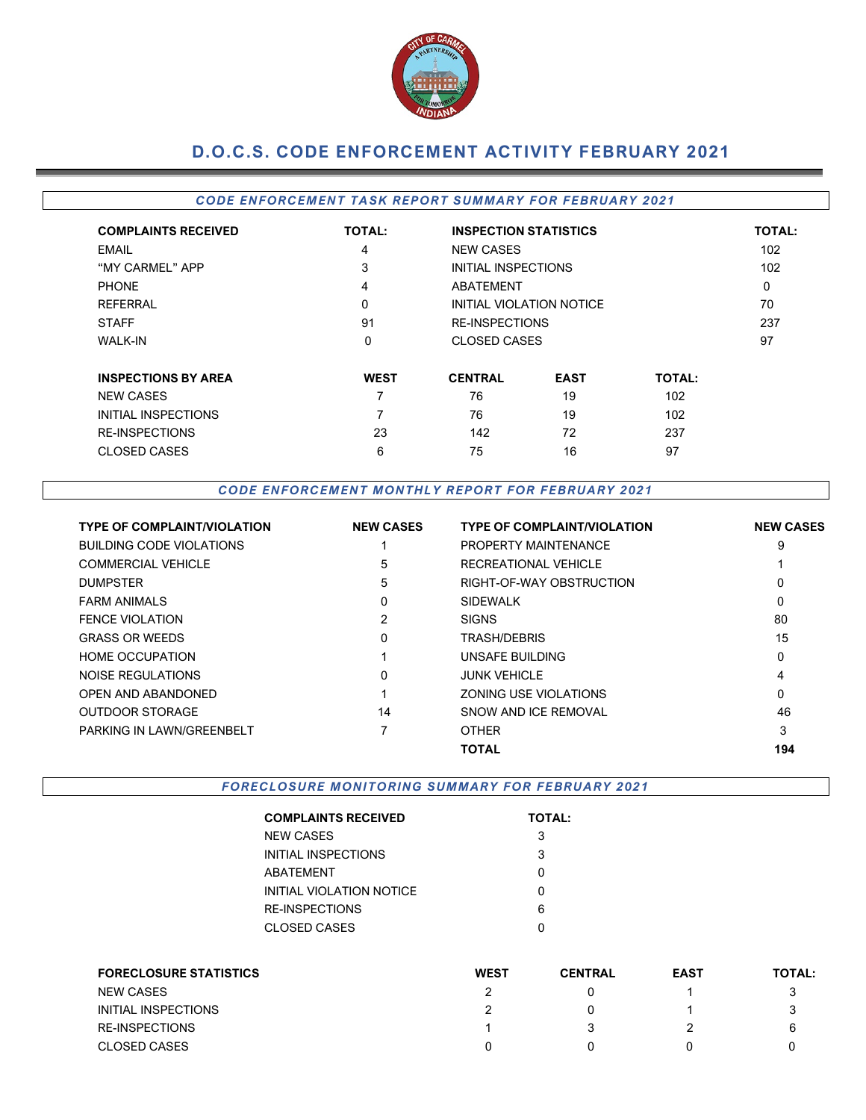

# **D.O.C.S. CODE ENFORCEMENT ACTIVITY FEBRUARY 2021**

#### *CODE ENFORCEMENT TASK REPORT SUMMARY FOR FEBRUARY 2021*

| <b>COMPLAINTS RECEIVED</b> | <b>TOTAL:</b> | <b>INSPECTION STATISTICS</b> | <b>TOTAL:</b>            |               |          |
|----------------------------|---------------|------------------------------|--------------------------|---------------|----------|
| EMAIL                      | 4             | <b>NEW CASES</b>             |                          | 102           |          |
| "MY CARMEL" APP            | 3             | INITIAL INSPECTIONS          |                          |               | 102      |
| <b>PHONE</b>               | 4             | ABATEMENT                    |                          |               | $\Omega$ |
| <b>REFERRAL</b>            | 0             |                              | INITIAL VIOLATION NOTICE |               | 70       |
| <b>STAFF</b>               | 91            | <b>RE-INSPECTIONS</b>        |                          |               | 237      |
| <b>WALK-IN</b>             | 0             | <b>CLOSED CASES</b>          |                          |               | 97       |
| <b>INSPECTIONS BY AREA</b> | <b>WEST</b>   | <b>CENTRAL</b>               | <b>EAST</b>              | <b>TOTAL:</b> |          |
| <b>NEW CASES</b>           | 7             | 76                           | 19                       | 102           |          |
| INITIAL INSPECTIONS        | 7             | 76                           | 19                       | 102           |          |
| <b>RE-INSPECTIONS</b>      | 23            | 142                          | 72                       | 237           |          |
| <b>CLOSED CASES</b>        | 6             | 75                           | 16                       | 97            |          |

#### *CODE ENFORCEMENT MONTHLY REPORT FOR FEBRUARY 2021*

| <b>TYPE OF COMPLAINT/VIOLATION</b> | <b>NEW CASES</b> | <b>TYPE OF COMPLAINT/VIOLATION</b> | <b>NEW CASES</b> |
|------------------------------------|------------------|------------------------------------|------------------|
| BUILDING CODE VIOLATIONS           |                  | PROPERTY MAINTENANCE               | 9                |
| <b>COMMERCIAL VEHICLE</b>          | 5                | RECREATIONAL VEHICLE               |                  |
| <b>DUMPSTER</b>                    | 5                | RIGHT-OF-WAY OBSTRUCTION           | 0                |
| <b>FARM ANIMALS</b>                | 0                | <b>SIDEWALK</b>                    | 0                |
| <b>FENCE VIOLATION</b>             | 2                | <b>SIGNS</b>                       | 80               |
| <b>GRASS OR WEEDS</b>              | 0                | TRASH/DEBRIS                       | 15               |
| <b>HOME OCCUPATION</b>             |                  | UNSAFE BUILDING                    | 0                |
| NOISE REGULATIONS                  | 0                | <b>JUNK VEHICLE</b>                | 4                |
| OPEN AND ABANDONED                 |                  | ZONING USE VIOLATIONS              | 0                |
| <b>OUTDOOR STORAGE</b>             | 14               | SNOW AND ICE REMOVAL               | 46               |
| <b>PARKING IN LAWN/GREENBELT</b>   |                  | <b>OTHER</b>                       | 3                |
|                                    |                  | <b>TOTAL</b>                       | 194              |

*FORECLOSURE MONITORING SUMMARY FOR FEBRUARY 2021*

| <b>COMPLAINTS RECEIVED</b> | <b>TOTAL:</b> |
|----------------------------|---------------|
| NEW CASES                  | 3             |
| INITIAL INSPECTIONS        | 3             |
| ABATEMENT                  | O             |
| INITIAL VIOLATION NOTICE   | ი             |
| RE-INSPECTIONS             | 6             |
| CLOSED CASES               | n             |
|                            |               |

| <b>FORECLOSURE STATISTICS</b> | <b>WEST</b> | <b>CENTRAL</b> | <b>EAST</b> | <b>TOTAL:</b> |
|-------------------------------|-------------|----------------|-------------|---------------|
| NEW CASES                     |             |                |             |               |
| INITIAL INSPECTIONS           |             |                |             |               |
| <b>RE-INSPECTIONS</b>         |             |                |             | 6             |
| <b>CLOSED CASES</b>           |             |                |             |               |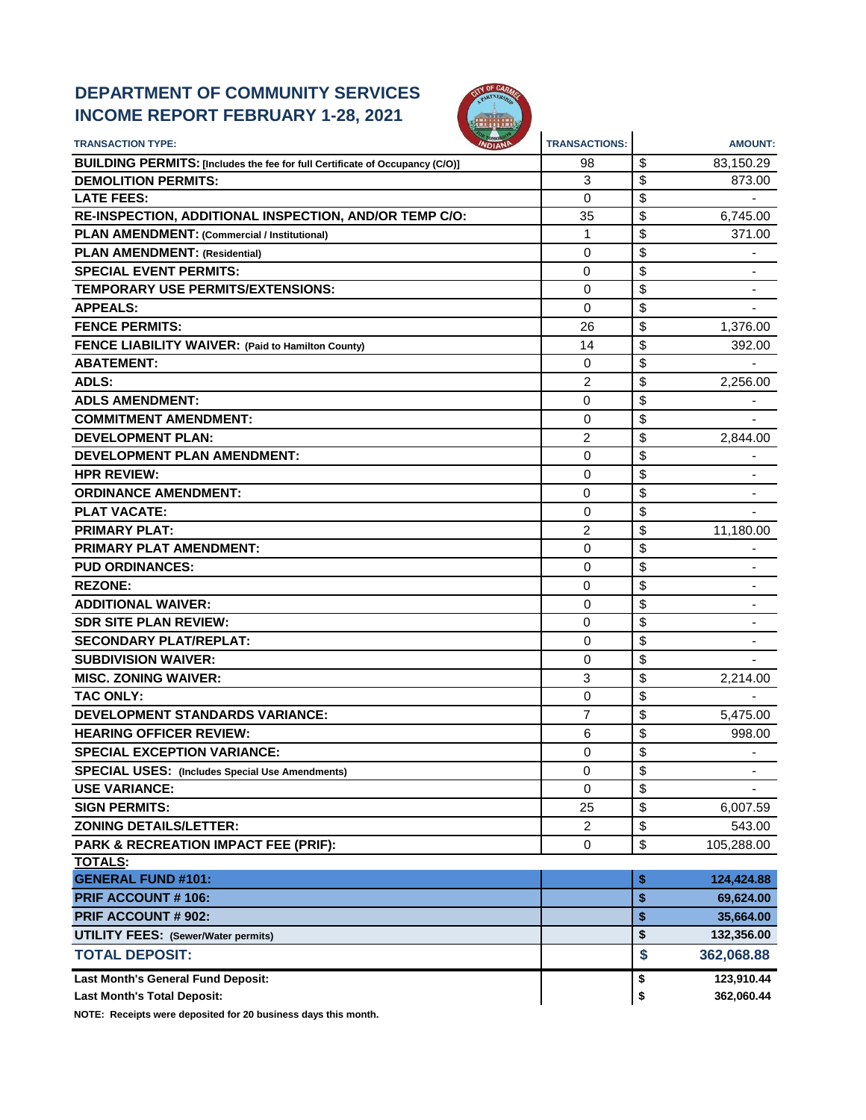## **DEPARTMENT OF COMMUNITY SERVICES INCOME REPORT FEBRUARY 1-28, 2021**



| <b>TRANSACTION TYPE:</b><br><b>NDIAN</b>                                     | <b>TRANSACTIONS:</b> | <b>AMOUNT:</b>                 |
|------------------------------------------------------------------------------|----------------------|--------------------------------|
| BUILDING PERMITS: [Includes the fee for full Certificate of Occupancy (C/O)] | 98                   | \$<br>83,150.29                |
| <b>DEMOLITION PERMITS:</b>                                                   | 3                    | \$<br>873.00                   |
| <b>LATE FEES:</b>                                                            | $\Omega$             | \$                             |
| RE-INSPECTION, ADDITIONAL INSPECTION, AND/OR TEMP C/O:                       | 35                   | \$<br>6,745.00                 |
| PLAN AMENDMENT: (Commercial / Institutional)                                 | 1                    | \$<br>371.00                   |
| <b>PLAN AMENDMENT: (Residential)</b>                                         | 0                    | \$                             |
| <b>SPECIAL EVENT PERMITS:</b>                                                | 0                    | \$                             |
| <b>TEMPORARY USE PERMITS/EXTENSIONS:</b>                                     | $\mathbf 0$          | \$                             |
| <b>APPEALS:</b>                                                              | $\mathbf 0$          | \$                             |
| <b>FENCE PERMITS:</b>                                                        | 26                   | \$<br>1,376.00                 |
| FENCE LIABILITY WAIVER: (Paid to Hamilton County)                            | 14                   | \$<br>392.00                   |
| <b>ABATEMENT:</b>                                                            | 0                    | \$                             |
| <b>ADLS:</b>                                                                 | 2                    | \$<br>2,256.00                 |
| <b>ADLS AMENDMENT:</b>                                                       | 0                    | \$                             |
| <b>COMMITMENT AMENDMENT:</b>                                                 | 0                    | \$                             |
| <b>DEVELOPMENT PLAN:</b>                                                     | 2                    | \$<br>2,844.00                 |
| <b>DEVELOPMENT PLAN AMENDMENT:</b>                                           | $\mathbf 0$          | \$                             |
| <b>HPR REVIEW:</b>                                                           | 0                    | \$                             |
| <b>ORDINANCE AMENDMENT:</b>                                                  | $\Omega$             | \$                             |
| <b>PLAT VACATE:</b>                                                          | 0                    | \$                             |
| <b>PRIMARY PLAT:</b>                                                         | 2                    | \$<br>11,180.00                |
| <b>PRIMARY PLAT AMENDMENT:</b>                                               | $\mathbf 0$          | \$                             |
| <b>PUD ORDINANCES:</b>                                                       | 0                    | \$                             |
| <b>REZONE:</b>                                                               | 0                    | \$                             |
| <b>ADDITIONAL WAIVER:</b>                                                    | 0                    | \$                             |
| <b>SDR SITE PLAN REVIEW:</b>                                                 | 0                    | \$                             |
| <b>SECONDARY PLAT/REPLAT:</b>                                                | 0                    | \$                             |
| <b>SUBDIVISION WAIVER:</b>                                                   | 0                    | \$                             |
| <b>MISC. ZONING WAIVER:</b>                                                  | 3                    | \$<br>2,214.00                 |
| <b>TAC ONLY:</b>                                                             | $\mathbf 0$          | \$                             |
| <b>DEVELOPMENT STANDARDS VARIANCE:</b>                                       | 7                    | \$<br>5,475.00                 |
| <b>HEARING OFFICER REVIEW:</b>                                               | 6                    | \$<br>998.00                   |
| <b>SPECIAL EXCEPTION VARIANCE:</b>                                           | $\mathbf 0$          | \$                             |
| <b>SPECIAL USES:</b> (Includes Special Use Amendments)                       | 0                    | \$<br>$\overline{\phantom{a}}$ |
| <b>USE VARIANCE:</b>                                                         | $\mathbf 0$          | \$                             |
| <b>SIGN PERMITS:</b>                                                         | 25                   | \$<br>6,007.59                 |
| <b>ZONING DETAILS/LETTER:</b>                                                | 2                    | \$<br>543.00                   |
| <b>PARK &amp; RECREATION IMPACT FEE (PRIF):</b>                              | 0                    | \$<br>105,288.00               |
| <b>TOTALS:</b>                                                               |                      |                                |
| <b>GENERAL FUND #101:</b>                                                    |                      | \$<br>124,424.88               |
| <b>PRIF ACCOUNT #106:</b>                                                    |                      | \$<br>69,624.00                |
| PRIF ACCOUNT # 902:                                                          |                      | \$<br>35,664.00                |
| <b>UTILITY FEES: (Sewer/Water permits)</b>                                   |                      | \$<br>132,356.00               |
| <b>TOTAL DEPOSIT:</b>                                                        |                      | \$<br>362,068.88               |
| Last Month's General Fund Deposit:                                           |                      | \$<br>123,910.44               |
| <b>Last Month's Total Deposit:</b>                                           |                      | \$<br>362,060.44               |

**NOTE: Receipts were deposited for 20 business days this month.**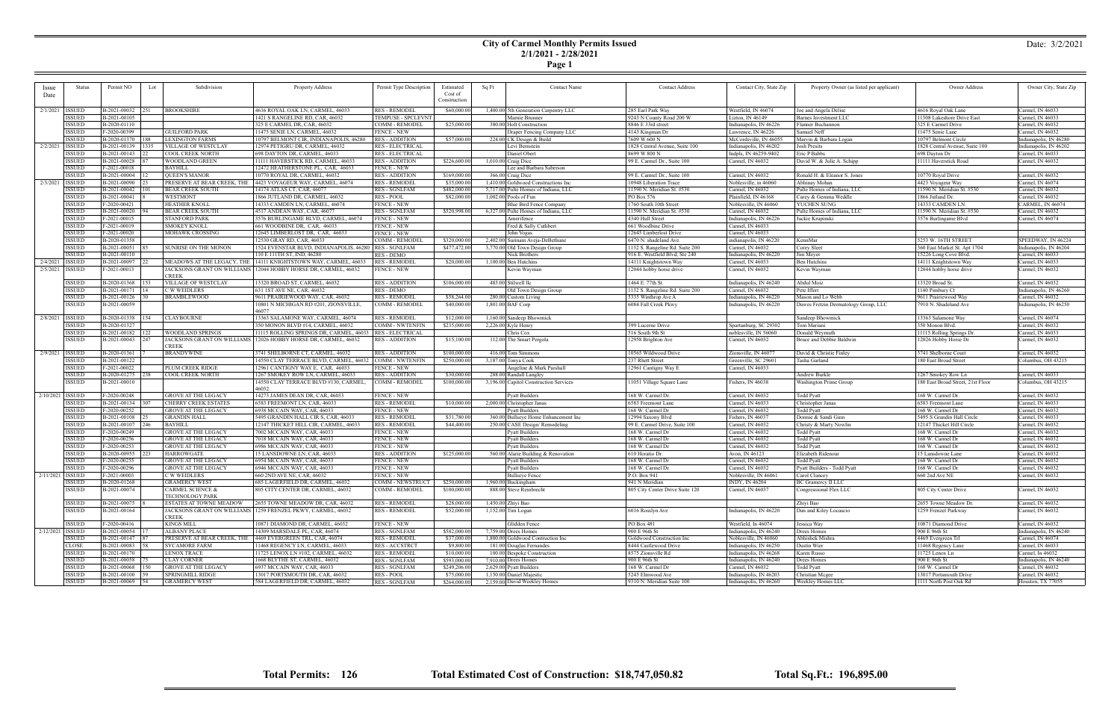#### **City of Carmel Monthly Permits Issued 2/1/2021 - 2/28/2021**

| ı |  |
|---|--|
|---|--|

|           | <b>Status</b>      | Permit NO<br>Lot          | Subdivision                 | Property Address                                                 | Permit Type Description       | Estimated    | Sq Ft | <b>Contact Name</b>                    | <b>Contact Address</b>          | Contact City, State Zip | Property Owner (as listed per applicant) | Owner Address                     | Owner City, State Zip  |
|-----------|--------------------|---------------------------|-----------------------------|------------------------------------------------------------------|-------------------------------|--------------|-------|----------------------------------------|---------------------------------|-------------------------|------------------------------------------|-----------------------------------|------------------------|
| Issue     |                    |                           |                             |                                                                  |                               | Cost of      |       |                                        |                                 |                         |                                          |                                   |                        |
| Date      |                    |                           |                             |                                                                  |                               | Construction |       |                                        |                                 |                         |                                          |                                   |                        |
|           |                    |                           |                             |                                                                  |                               |              |       |                                        |                                 |                         |                                          |                                   |                        |
| 2/1/2021  | <b>ISSUED</b>      | B-2021-00032<br>251       | <b>BROOKSHIRE</b>           | 4616 ROYAL OAK LN, CARMEL, 46033                                 | RES - REMODEL                 | \$60,000.00  |       | 1,400.00 5th Generation Carpentry LLC  | 285 Earl Park Way               | Westfield, IN 46074     | Joe and Angela Delise                    | 4616 Royal Oak Lane               | Carmel, IN 46033       |
|           | <b>ISSUED</b>      | B-2021-00105              |                             | 1421 S RANGELINE RD, CAR, 46032                                  | TEMPUSE - SPCLEVNT            |              |       | Marnie Brunner                         | 9243 N County Road 200 W        | Lizton, IN 46149        | Barnes Investment LLC                    | 11308 Lakeshore Drive East        | Carmel, IN 46033       |
|           | <b>ISSUED</b>      | B-2020-01110              |                             | 325 E CARMEL DR, CAR, 46032                                      | COMM - REMODEL                | \$25,000.00  |       | 380.00 Holt Construction               | 8846 E 33rd street              | Indianapolis, IN 46226  | Flanner Buchannon                        | 325 E Carmel Drive                | Carmel, IN 46032       |
|           | <b>ISSUED</b>      | F-2020-00399              | <b>GUILFORD PARK</b>        | 11475 SENIE LN, CARMEL, 46032                                    | <b>FENCE - NEW</b>            |              |       | Draper Fencing Company LLC             | 4143 Kingman Dr                 | Lawrence, IN 46226      | Samuel Neff                              | 11475 Senie Lane                  | Carmel, IN 46032       |
|           | ISSUED             | B-2020-01370<br> 188      | <b>LEXINGTON FARMS</b>      | 10797 BELMONT CIR, INDIANAPOLIS, 46280                           | <b>RES - ADDITION</b>         | \$57,000.00  |       | 224.00 CK Design & Build               | 7609 W 600 N                    | McCordsville, IN 46055  | Marvin & Barbara Logan                   | 10797 Belmont Circle              | Indianapolis, IN 46280 |
| 2/2/2021  | <b>ISSUED</b>      | B-2021-00139<br>  1335    | VILLAGE OF WESTCLAY         | 12974 PETIGRU DR, CARMEL, 46032                                  | <b>RES - ELECTRICAL</b>       |              |       | Levi Bernstein                         | 1828 Central Avenue, Suite 100  | Indianapolis, IN 46202  | <b>Josh Presits</b>                      | 1828 Central Avenue, Suite 100    | Indianapolis, IN 46202 |
|           | ISSUED             | B-2021-00143              | <b>COOL CREEK NORTH</b>     | 698 DAYTON DR, CARMEL, 46033                                     | RES - ELECTRICAL              |              |       | Daniel Obert                           | 8699 W 800 N                    | Indpls, IN 46259-9402   | Eric P Babbs                             | 698 Dayton Dr                     | Carmel, IN 46033       |
|           | <b>ISSUED</b>      | B-2021-00028              | WOODLAND GREEN              | 11111 HAVERSTICK RD, CARMEL, 46033                               | <b>RES - ADDITION</b>         | \$226,600.00 |       | $1,010.00$ Craig Dice                  | 99 E. Carmel Dr., Suite 100     | Carmel, IN 46032        | David W. & Julie A. Schipp               | 11111 Haverstick Road             | Carmel, IN 46032       |
|           | <b>ISSUED</b>      | F-2021-00018              | <b>BAYHILI</b>              | 12472 HEATHERSTONE PL, CAR, 46033                                | <b>FENCE - NEW</b>            |              |       | Lee and Barbara Saberson               |                                 |                         |                                          |                                   |                        |
|           | ISSUED             | B-2021-00004              | <b>QUEEN'S MANOR</b>        | 10770 ROYAL DR, CARMEL, 46032                                    | <b>RES - ADDITION</b>         | \$169,000.00 |       | 366.00 Craig Dice                      | 99 E. Carmel Dr., Suite 100     | Carmel, IN 46032        | Ronald H. & Eleanor S. Jones             | 10770 Royal Drive                 | Carmel, IN 46032       |
| 2/3/2021  | <b>ISSUED</b>      | B-2021-00090              | PRESERVE AT BEAR CREEK, THE | 4423 VOYAGEUR WAY, CARMEL, 46074                                 | <b>RES - REMODEL</b>          | \$35,000.00  |       | 1,410.00 Goldwood Constructions Inc    | 10948 Liberation Trace          | Noblesville, in 46060   | Abhinav Mohan                            | 4423 Voyageur Way                 | Carmel, IN 46074       |
|           | ISSUED             | B-2021-00042              | <b>BEAR CREEK SOUTH</b>     | 14174 ATLAS CT, CAR, 46077                                       | <b>RES - SGNLFAM</b>          | \$482,000.00 |       | 5,717.00 Pulte Homes of Indiana, LLC   | 11590 N. Meridian St. #530      | Carmel, IN 46032        | Pulte Homes of Indiana, LLC              | 11590 N. Meridian St. #530        | Carmel, IN 46032       |
|           | <b>ISSUED</b>      | B-2021-00041              | WESTMONT                    | 1866 JUTLAND DR, CARMEL, 46032                                   | RES - POOL                    | \$82,000.00  |       | $1,002.00$ Pools of Fun                | PO Box 576                      | Plainfield, IN 46168    | Carey & Gemma Weddle                     | 1866 Jutland Dr.                  | Carmel, IN 46032       |
|           | <b>ISSUED</b>      | F-2020-00421              | <b>HEATHER KNOLL</b>        | 14333 CAMDEN LN, CARMEL, 46074                                   | <b>FENCE - NEW</b>            |              |       | Blue Bird Fence Company                | 1760 South 10th Street          | Noblesville, IN 46060   | YUCHEN SUNG                              | 14333 CAMDEN LN.                  | CARMEL, IN 46074       |
|           | <b>ISSUED</b>      | B-2021-00020              | <b>BEAR CREEK SOUTH</b>     | 4517 ANDEAN WAY, CAR, 46077                                      | <b>RES - SGNLFAM</b>          | \$520,998.00 |       | 6,327.00 Pulte Homes of Indiana, LLC   | 11590 N. Meridian St. #530      | Carmel, IN 46032        | Pulte Homes of Indiana, LLC              | 11590 N. Meridian St. #530        | Carmel, IN 46032       |
|           | <b>ISSUED</b>      | F-2021-00015              | <b>STANFORD PARK</b>        | 3576 BURLINGAME BLVD, CARMEL, 46074                              | <b>FENCE - NEW</b>            |              |       | Amerifence                             | 4340 Hull Street                | Indianapolis, IN 46226  | Jackie Krupinski                         | 3576 Burlingame Blvd              | Carmel, IN 46074       |
|           | <b>ISSUED</b>      | F-2021-00019              | <b>SMOKEY KNOLL</b>         | 661 WOODBINE DR, CAR, 46033                                      | <b>FENCE - NEW</b>            |              |       | Fred & Sally Cuthbert                  | 661 Woodbine Drive              | Carmel, IN 46033        |                                          |                                   |                        |
|           | <b>ISSUED</b>      | F-2021-00020              | MOHAWK CROSSING             | 12645 LIMBERLOST DR, CAR, 46033                                  | <b>FENCE - NEW</b>            |              |       | John Vogas                             | 12645 Limberlost Drive          | Carmel, IN 46033        |                                          |                                   |                        |
|           | <b>ISSUED</b>      | B-2020-01358              |                             | 12530 GRAY RD, CAR, 46033                                        | COMM - REMODEL                |              |       |                                        | 6470 N. shadeland Ave.          |                         | KennMar                                  | 5253 W. 16TH STREET               | SPEEDWAY, IN 46224     |
|           |                    |                           |                             |                                                                  |                               | \$320,000.00 |       | 2,402.00 Surinam Aveja-DeBethune       |                                 | indianapolis, IN 46220  |                                          |                                   |                        |
|           | <b>ISSUED</b>      | B-2021-00051              | <b>SUNRISE ON THE MONON</b> | 1524 EVENSTAR BLVD, INDIANAPOLIS, 46280   RES - SGNLFAM          |                               | \$477,472.00 |       | 3,770.00 Old Town Design Group         | 1132 S. Rangeline Rd. Suite 200 | Carmel, IN 46032        | Corey Sleet                              | 360 East Market St. Apt 1704      | Indianapolis, IN 46204 |
|           | <b>ISSUED</b>      | B-2021-00110              |                             | 110 E 111TH ST, IND, 46280                                       | RES - DEMO                    |              |       | Nick Brothers                          | 916 E. Westfield Blvd, Ste 240  | Indianapolis, IN 46220  | Jim Meyer                                | 15226 Long Cove Blvd.             | Carmel, IN 46033       |
| 2/4/2021  | <b>ISSUED</b>      | B-2021-00097              |                             | MEADOWS AT THE LEGACY, THE 14111 KNIGHTSTOWN WAY, CARMEL, 46033  | <b>RES - REMODEI</b>          | \$20,000.00  |       | $1,100.00$ Ben Hutchins                | 14111 Knightstown Way           | Carmel, IN 46033        | <b>Ben Hutchins</b>                      | 14111 Knightstown Way             | Carmel, IN 46033       |
| 2/5/2021  | <b>ISSUED</b>      | F-2021-00013              |                             | JACKSONS GRANT ON WILLIAMS 12044 HOBBY HORSE DR. CARMEL, 46032   | <b>FENCE - NEW</b>            |              |       | Kevin Wayman                           | 12044 hobby horse drive         | Carmel, IN 46032        | Kevin Wayman                             | 12044 hobby horse drive           | Carmel, IN 46032       |
|           |                    |                           | <b>CREEK</b>                |                                                                  |                               |              |       |                                        |                                 |                         |                                          |                                   |                        |
|           | <b>ISSUED</b>      | B-2020-01368   153        | <b>VILLAGE OF WESTCLAY</b>  | 13320 BROAD ST, CARMEL, 46032                                    | <b>RES - ADDITION</b>         | \$106,000.00 |       | 483.00 Stilwell llc                    | 1464 E. 77th St.                | Indianapolis, IN 46240  | Abdul Moiz                               | 13320 Broad St.                   | Carmel, IN 46032       |
|           | <b>ISSUED</b>      | B-2021-00171              | <b>C W WEIDLERS</b>         | 631 1ST AVE NE, CAR, 46032                                       | RES - DEMO                    |              |       | Old Town Design Group                  | 1132 S. Rangeline Rd. Suite 200 | Carmel, IN 46032        | Pete Iffert                              | 1140 Pimbury Ct                   | Indianapolis, IN 46260 |
|           | <b>ISSUED</b>      | B-2021-00126              | <b>BRAMBLEWOOD</b>          | 9611 PRAIRIEWOOD WAY, CAR, 46032                                 | <b>RES - REMODEI</b>          | \$58,264.00  |       | 280.00 Custom Living                   | 5335 Winthrop Ave A             | Indianapolis, IN 46220  | Mason and Lo Webb                        | 9611 Prairiewood Way              | Carmel, IN 46032       |
|           | <b>ISSUED</b>      | B-2021-00059              |                             | 10801 N MICHIGAN RD #201, ZIONSVILLE                             | COMM - REMODEL                | \$40,000.00  |       | 1,801.00 BAF Corp                      | 6084 Fall Creek Pkwy            | Indianapolis, IN 46220  | Dawes Fretzin Dermatology Group, LLC     | 7910 N. Shadeland Ave             | Indianapolis, IN 46250 |
|           |                    |                           |                             | 46077                                                            |                               |              |       |                                        |                                 |                         |                                          |                                   |                        |
| 2/8/2021  | <b>ISSUED</b>      | B-2020-01338<br> 154      | <b>CLAYBOURNE</b>           | 13363 SALAMONE WAY, CARMEL, 46074                                | <b>RES - REMODEL</b>          | \$12,000.00  |       | 1,160.00 Sandeep Bhowmick              |                                 |                         | Sandeep Bhowmick                         | 13363 Salamone Way                | Carmel, IN 46074       |
|           | ISSUED             | B-2020-01327              |                             | 350 MONON BLVD #14, CARMEL, 46032                                | COMM - NWTENFIN               | \$235,000.00 |       | $2,226.00$ Kyle Henry                  | 399 Lucerne Drive               | Spartanburg, SC 29302   | Tom Mariani                              | 350 Monon Blvd.                   | Carmel, IN 46032       |
|           | <b>ISSUED</b>      | B-2021-00182<br>122       | <b>WOODLAND SPRINGS</b>     | 11115 ROLLING SPRINGS DR, CARMEL, 46033                          | <b>RES - ELECTRICAL</b>       |              |       | Chris Cox                              | 516 South 9th St                | noblesville, IN 56060   | Donald Weymuth                           | 11115 Rolling Springs Dr          | Carmel, IN 46033       |
|           | <b>ISSUED</b>      | B-2021-00043<br>247       |                             | JACKSONS GRANT ON WILLIAMS   12026 HOBBY HORSE DR, CARMEL, 46032 | <b>RES - ADDITION</b>         | \$15,100.00  |       | 112.00 The Smart Pergola               | 12958 Brighton Ave              | Carmel, IN 46032        | Bruce and Debbie Baldwin                 | 12026 Hobby Horse Dr              | Carmel, IN 46032       |
|           |                    |                           | <b>CREEK</b>                |                                                                  |                               |              |       |                                        |                                 |                         |                                          |                                   |                        |
| 2/9/2021  | <b>ISSUED</b>      | B-2020-01361              | <b>BRANDYWINE</b>           | 3741 SHELBORNE CT, CARMEL, 46032                                 | <b>RES - ADDITION</b>         | \$100,000.00 |       | 416.00 Tom Simmons                     | 10565 Wildwood Drive            | Zionsville, IN 46077    | David & Christie Finley                  | 3741 Shelborne Court              | Carmel, IN 46032       |
|           | <b>ISSUED</b>      | B-2021-00122              |                             | 14550 CLAY TERRACE BLVD, CARMEL, 46032                           | <b>COMM - NWTENFIN</b>        | \$250,000.00 |       | 3,187.00 Tonya Cook                    | 237 Rhett Street                | Greenville, SC 29601    | Tasha Garland                            | 180 East Broad Street             | Columbus, OH 43215     |
|           | <b>ISSUED</b>      | F-2021-00022              | PLUM CREEK RIDGE            | 12961 CANTIGNY WAY E, CAR, 46033                                 | <b>FENCE - NEW</b>            |              |       | Angeline & Mark Parshall               | 12961 Cantigny Way E            | Carmel, IN 46033        |                                          |                                   |                        |
|           | <b>ISSUED</b>      | $B-2020-01275$ 238        | COOL CREEK NORTH            | 1267 SMOKEY ROW LN, CARMEL, 46033                                | <b>RES - ADDITION</b>         | \$30,000.00  |       | 288.00 Randall Langley                 |                                 |                         | Andrew Burkle                            | 1267 Smokey Row Ln                | Carmel, IN 46033       |
|           | <b>ISSUED</b>      | B-2021-00010              |                             | 14550 CLAY TERRACE BLVD #130, CARMEL                             | COMM - REMODEL                | \$100,000.00 |       | 3,196.00 Capitol Construction Services | 11051 Village Square Lane       | Fishers, IN 46038       | Washington Prime Group                   | 180 East Broad Street, 21st Floor | Columbus, OH 43215     |
|           |                    |                           |                             | 46032                                                            |                               |              |       |                                        |                                 |                         |                                          |                                   |                        |
| 2/10/2021 | <b>ISSUED</b>      | F-2020-00248              | <b>GROVE AT THE LEGACY</b>  | 14273 JAMES DEAN DR, CAR, 46033                                  | <b>FENCE - NEW</b>            |              |       | Pyatt Builders                         | 168 W. Carmel Dr.               | Carmel, IN 46032        | <b>Todd Pyatt</b>                        | 168 W. Carmel Dr.                 | Carmel, IN 46032       |
|           | <b>ISSUED</b>      | B-2021-00134              | <b>CHERRY CREEK ESTATES</b> | 6583 FREEMONT LN, CAR, 46033                                     | <b>RES - REMODEI</b>          | \$10,000.00  |       | 2,000.00 Christopher Janas             | 6583 Freemont Lane              | Carmel, IN 46033        | Christopher Janas                        | 6583 Freemont Lane                | Carmel, IN 46033       |
|           | <b>ISSUED</b>      | F-2020-00252              | <b>GROVE AT THE LEGACY</b>  | 6938 MCCAIN WAY, CAR, 46033                                      | <b>FENCE - NEW</b>            |              |       | Pyatt Builders                         | 168 W. Carmel Dr                | Carmel, IN 46032        | <b>Todd Pyatt</b>                        | 168 W. Carmel Dr                  | Carmel, IN 46032       |
|           | <b>ISSUED</b>      | $\overline{B-2021-00108}$ | <b>GRANDIN HALL</b>         | 5495 GRANDIN HALL CIR S, CAR, 46033                              | <b>RES - REMODEI</b>          | \$31,780.00  |       | 360.00 Bullseye Home Enhancement Inc   | 12994 Saxony Blvd               | ishers, IN 46037        | Donnie & Sandi Ginn                      | 5495 S Grandin Hall Circle        | Carmel, IN 46033       |
|           | <b>ISSUED</b>      | B-2021-00107<br>246       | <b>BAYHILL</b>              | 12147 THICKET HILL CIR, CARMEL, 46033                            | <b>RES - REMODEI</b>          | \$44,400.00  |       | 250.00 CASE Design/Remodeling          | 99 E. Carmel Drive, Suite 100   | Carmel, IN 46032        | Christy & Marty Nowlin                   | 12147 Thicket Hill Circle         | Carmel, IN 46032       |
|           | <b>ISSUED</b>      | F-2020-00249              | <b>GROVE AT THE LEGACY</b>  | 7002 MCCAIN WAY, CAR, 46033                                      | <b>FENCE - NEW</b>            |              |       | Pyatt Builders                         | 168 W. Carmel Dr                | Carmel, IN 46032        | <b>Todd Pyatt</b>                        | 168 W. Carmel Dr                  | Carmel, IN 46032       |
|           | <b>ISSUED</b>      | F-2020-00256              | <b>GROVE AT THE LEGACY</b>  | 7018 MCCAIN WAY, CAR, 46033                                      | <b>FENCE - NEW</b>            |              |       | Pyatt Builders                         | 168 W. Carmel Dr                | Carmel, IN 46032        | <b>Todd Pyatt</b>                        | 168 W. Carmel Dr                  | Carmel, IN 46032       |
|           | <b>ISSUED</b>      | F-2020-00253              | <b>GROVE AT THE LEGACY</b>  | 6986 MCCAIN WAY, CAR, 46033                                      | <b>FENCE - NEW</b>            |              |       | Pyatt Builders                         | 168 W. Carmel Dr                | Carmel, IN 46032        | <b>Todd Pyatt</b>                        | 168 W. Carmel Dr                  | Carmel, IN 46032       |
|           | <b>ISSUED</b>      | B-2020-00955<br>223       | <b>HARROWGATE</b>           | 15 LANSDOWNE LN, CAR, 46033                                      | <b>RES - ADDITION</b>         | \$125,000.00 |       | 560.00 Alarie Building & Renovation    | 610 Horatio Dr.                 | Avon, IN 46123          | Elizabeth Ridenour                       | 15 Lansdowne Lane                 | Carmel, IN 46032       |
|           | <b>ISSUED</b>      | F-2020-00255              | <b>GROVE AT THE LEGACY</b>  | 6954 MCCAIN WAY, CAR, 46033                                      | <b>FENCE - NEW</b>            |              |       | Pyatt Builders                         | 168 W. Carmel Dr                | Carmel, IN 46032        | <b>Todd Pyatt</b>                        | 168 W. Carmel Dr                  | Carmel, IN 46032       |
|           |                    |                           |                             |                                                                  |                               |              |       |                                        |                                 |                         |                                          |                                   |                        |
|           | <b>SSUED</b>       | $-2020 - 00296$           | <b>GROVE AT THE LEGACY</b>  | 6946 MCCAIN WAY, CAR, 46033                                      | <b>FENCE - NEW</b>            |              |       | Pyatt Builders                         | 168 W. Carmel Dr                | Carmel, IN 46032        | Pyatt Builders - Todd Pyatt              | 168 W. Carmel Dr                  | Carmel, IN 46032       |
| 2/11/2021 | <b>ISSUED</b>      | $-2021 - 00003$           | <b>CWWEIDLERS</b>           | 660 2ND AVE NE, CAR, 46032                                       | <b>FENCE - NEW</b>            |              |       | <b>Bullseye Fence</b>                  | P.O. Box 941                    | Noblesville, IN 46061   | Carol Clancey                            | 660 2nd Ave NE                    | Carmel, IN 46032       |
|           | ISSUED             | B-2020-01268              | <b>GRAMERCY WEST</b>        | 685 LAGERFIELD DR. CARMEL. 46032                                 | COMM-NEWSTRUCT   \$250,000.00 |              |       | 1,960.00 Buckingham                    | 941 N Meridian                  | <b>INDY, IN 46204</b>   | <b>BC Gramercy II LLC</b>                |                                   |                        |
|           | <b>ISSUED</b>      | B-2021-00074              | <b>CARMEL SCIENCE &amp;</b> | 805 CITY CENTER DR, CARMEL, 46032                                | COMM - REMODEL                | \$100,000.00 |       | 888.00 Steve Reinbrecht                | 805 City Center Drive Suite 120 | Carmel, IN 46037        | Congressional Flex LLC                   | 805 City Center Drive             | Carmel, IN 46032       |
|           |                    |                           | <b>TECHNOLOGY PARK</b>      |                                                                  |                               |              |       |                                        |                                 |                         |                                          |                                   |                        |
|           | <b>ISSUED</b>      | B-2021-00075              | ESTATES AT TOWNE MEADOW     | 2655 TOWNE MEADOW DR, CAR, 46032                                 | <b>RES - REMODEL</b>          | \$28,000.00  |       | 1,450,00 Zhivi Bao                     |                                 |                         | Zhiyi Bao                                | 2655 Towne Meadow Dr.             | Carmel, IN 46032       |
|           | <b>ISSUED</b>      | B-2021-00164              |                             | JACKSONS GRANT ON WILLIAMS   1259 FRENZEL PKWY, CARMEL, 46032    | <b>RES - REMODEL</b>          | \$52,000.00  |       | 1,152.00 Tim Logan                     | 6016 Rosslyn Ave                | Indianapolis, IN 46220  | Dan and Kiley Locascio                   | 1259 Frenzel Parkway              | Carmel, IN 46032       |
|           |                    |                           | <b>CREEK</b>                |                                                                  |                               |              |       |                                        |                                 |                         |                                          |                                   |                        |
|           | ISSUED             | F-2020-00416              | <b>KINGS MILL</b>           | 10871 DIAMOND DR, CARMEL, 46032                                  | FENCE - NEW                   |              |       | Glidden Fence                          | PO Box 481                      | Westfield, In 46074     | Jessica Way                              | 10871 Diamond Drive               | Carmel, IN 46032       |
|           | 2/12/2021   ISSUED | B-2021-00054              | <b>ALBANY PLACE</b>         | 14309 MARSDALE PL, CAR, 46074                                    | <b>RES - SGNLFAM</b>          | \$582,000.00 |       | 7,759.00 Drees Homes                   | 900 E 96th St                   | Indianapolis, IN 46240  | Drees Homes                              | 900 E 96th St                     | Indianapolis, IN 46240 |
|           | ISSUED             | B-2021-00147              | PRESERVE AT BEAR CREEK, THE | 4469 EVERGREEN TRL, CAR, 46074                                   | RES - REMODEL                 | \$37,000.00  |       | 1,800.00 Goldwood Contruction Inc      | Goldwood Construction Inc       | Noblesville, IN 46060   | Abhishek Mishra                          | 4469 Evergreen Trl                | Carmel, IN 46074       |
|           | <b>CLOSE</b>       | B-2021-00083              | <b>SYCAMORE FARM</b>        | 11468 REGENCY LN, CARMEL, 46033                                  | RES - ACCSTRCT                | \$9,800.00   |       | 181.00 Douglas Fernandes               | 8444 Castlewood Drive           | Indianapolis, IN 46250  | Dustin Wier                              | 11468 Regency Lane                | Carmel, IN 46033       |
|           | <b>ISSUED</b>      | B-2021-00170              | <b>LENOX TRACE</b>          | 11725 LENOX LN #102, CARMEL, 46032                               | <b>RES-REMODEL</b>            | \$10,000.00  |       | 100.00 Bespoke Construction            | 8575 Zionsville Rd              | Indianapolis, IN 46268  | Karen Russo                              | 11725 Lenox Ln                    | Carmel, In 46032       |
|           | <b>ISSUED</b>      | B-2021-00058              | <b>CLAY CORNER</b>          | 1668 BLYTHE ST, CARMEL, 46032                                    | <b>RES - SGNLFAM</b>          | \$593,000.00 |       | 7,910.00 Drees Homes                   | 900 E 96th St                   | Indianapolis, IN 46240  | Drees Homes                              | 900 E 96th St                     | Indianapolis, IN 46240 |
|           | <b>ISSUED</b>      | B-2021-00068              | <b>GROVE AT THE LEGACY</b>  | 6937 MCCAIN WAY, CAR, 46033                                      | <b>RES - SGNLFAM</b>          | \$249,206.00 |       | 2,629.00 Pyatt Builders                | 168 W. Carmel Dr                | Carmel, IN 46032        | Todd Pyatt                               | 168 W. Carmel Dr                  | Carmel, IN 46032       |
|           | <b>ISSUED</b>      | B-2021-00100              | <b>SPRINGMILL RIDGE</b>     | 13017 PORTSMOUTH DR, CAR, 46032                                  | RES - POOL                    | \$75,000.00  |       | 1.150.00 Daniel Majestic               | 5245 Elmwood Ave                | Indianapolis, IN 46203  | Christian Mcgee                          | 13017 Portsmouth Drive            | Carmel, IN 46032       |
|           | ISSUED             | $B-2021-00069$ 54         | <b>GRAMERCY WEST</b>        | 584 LAGERFIELD DR, CARMEL, 46032                                 | RES - SGNLFAM                 | \$264,000.00 |       | 2,159.00 David Weekley Homes           | 9310 N. Meridian Suite 100      | Indianapolis, IN 46260  | Weekley Homes LLC                        | 1111 North Post Oak Rd            | Houston, TX 77055      |